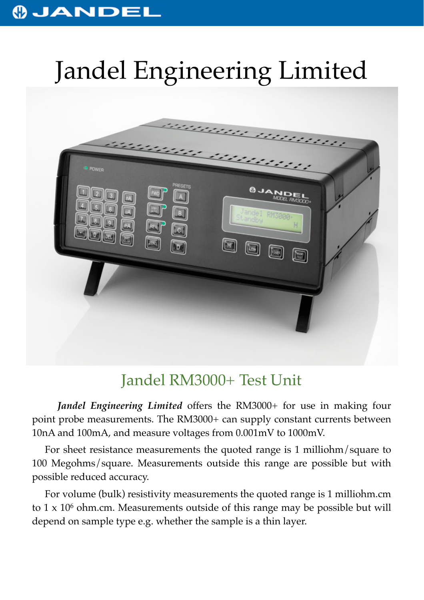## **OJANDEL**

# Jandel Engineering Limited



## Jandel RM3000+ Test Unit

*Jandel Engineering Limited* offers the RM3000+ for use in making four point probe measurements. The RM3000+ can supply constant currents between 10nA and 100mA, and measure voltages from 0.001mV to 1000mV.

For sheet resistance measurements the quoted range is 1 milliohm/square to 100 Megohms/square. Measurements outside this range are possible but with possible reduced accuracy.

For volume (bulk) resistivity measurements the quoted range is 1 milliohm.cm to  $1 \times 10^6$  ohm.cm. Measurements outside of this range may be possible but will depend on sample type e.g. whether the sample is a thin layer.